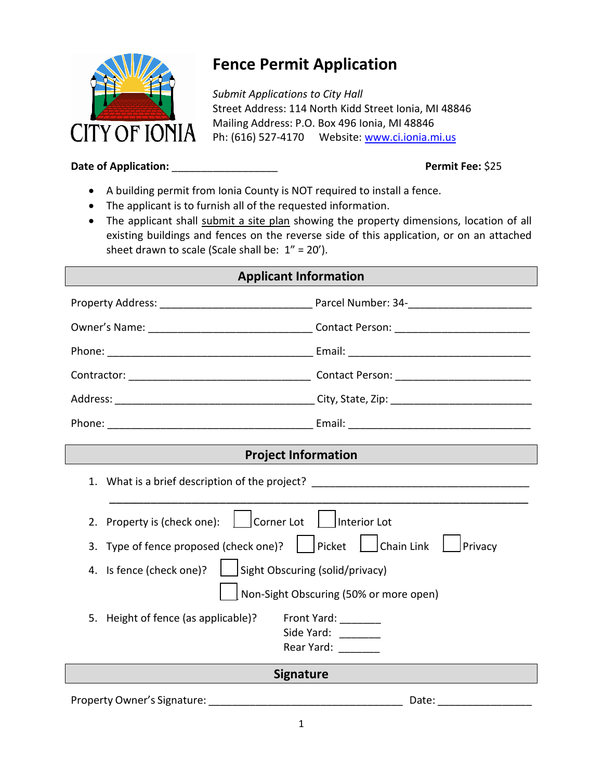

# **Fence Permit Application**

*Submit Applications to City Hall* Street Address: 114 North Kidd Street Ionia, MI 48846 Mailing Address: P.O. Box 496 Ionia, MI 48846 Ph: (616) 527-4170 Website: [www.ci.ionia.mi.us](http://www.ci.ionia.mi.us/)

### **Date of Application:** \_\_\_\_\_\_\_\_\_\_\_\_\_\_\_\_\_\_ **Permit Fee:** \$25

- A building permit from Ionia County is NOT required to install a fence.
- The applicant is to furnish all of the requested information.
- The applicant shall submit a site plan showing the property dimensions, location of all existing buildings and fences on the reverse side of this application, or on an attached sheet drawn to scale (Scale shall be:  $1'' = 20'$ ).

| <b>Applicant Information</b>                                                     |                                                 |
|----------------------------------------------------------------------------------|-------------------------------------------------|
|                                                                                  |                                                 |
|                                                                                  |                                                 |
|                                                                                  |                                                 |
|                                                                                  |                                                 |
|                                                                                  |                                                 |
|                                                                                  |                                                 |
| <b>Project Information</b>                                                       |                                                 |
| 1. What is a brief description of the project? _________________________________ |                                                 |
| Corner Lot<br>Property is (check one):<br>2.                                     | Interior Lot                                    |
| Type of fence proposed (check one)?     Picket     Chain Link<br>3.              | Privacy                                         |
| 4. Is fence (check one)?                                                         | Sight Obscuring (solid/privacy)                 |
|                                                                                  | Non-Sight Obscuring (50% or more open)          |
| 5. Height of fence (as applicable)?                                              | Front Yard:<br>Side Yard:<br>Rear Yard: _______ |
| <b>Signature</b>                                                                 |                                                 |
|                                                                                  |                                                 |

Property Owner's Signature: \_\_\_\_\_\_\_\_\_\_\_\_\_\_\_\_\_\_\_\_\_\_\_\_\_\_\_\_\_\_\_\_\_ Date: \_\_\_\_\_\_\_\_\_\_\_\_\_\_\_\_